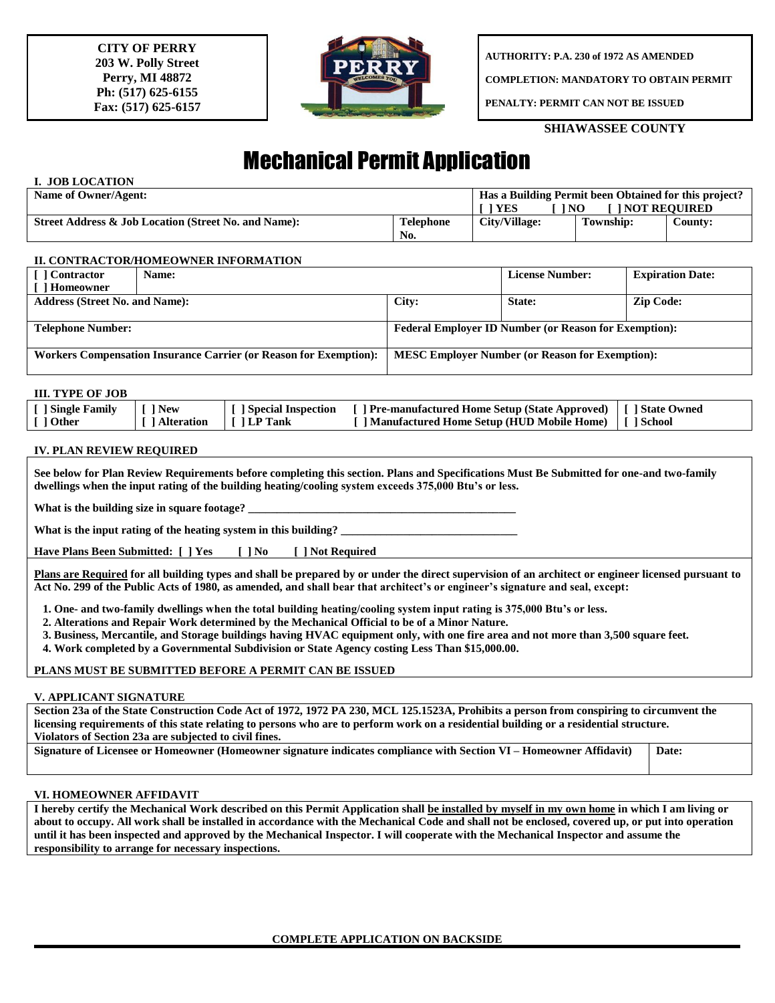**CITY OF PERRY 203 W. Polly Street Perry, MI 48872 Ph: (517) 625-6155 Fax: (517) 625-6157**



**AUTHORITY: P.A. 230 of 1972 AS AMENDED**

**COMPLETION: MANDATORY TO OBTAIN PERMIT**

**PENALTY: PERMIT CAN NOT BE ISSUED**

## **SHIAWASSEE COUNTY**

# Mechanical Permit Application

# **I. JOB LOCATION**

| Name of Owner/Agent:                                 | Has a Building Permit been Obtained for this project? |               |           |         |  |  |
|------------------------------------------------------|-------------------------------------------------------|---------------|-----------|---------|--|--|
|                                                      | <b>YES</b><br><b>INOT REQUIRED</b><br><b>NO</b>       |               |           |         |  |  |
| Street Address & Job Location (Street No. and Name): | <b>Telephone</b>                                      | City/Village: | Township: | Countv: |  |  |
|                                                      | No.                                                   |               |           |         |  |  |

#### **II. CONTRACTOR/HOMEOWNER INFORMATION**

| [ ] Contractor                                                           | Name: |                                                              | <b>License Number:</b> | <b>Expiration Date:</b> |  |  |  |
|--------------------------------------------------------------------------|-------|--------------------------------------------------------------|------------------------|-------------------------|--|--|--|
| [ ] Homeowner                                                            |       |                                                              |                        |                         |  |  |  |
| <b>Address (Street No. and Name):</b>                                    |       | City:                                                        | State:                 | <b>Zip Code:</b>        |  |  |  |
|                                                                          |       |                                                              |                        |                         |  |  |  |
| <b>Telephone Number:</b>                                                 |       | <b>Federal Employer ID Number (or Reason for Exemption):</b> |                        |                         |  |  |  |
|                                                                          |       |                                                              |                        |                         |  |  |  |
| <b>Workers Compensation Insurance Carrier (or Reason for Exemption):</b> |       | <b>MESC Employer Number (or Reason for Exemption):</b>       |                        |                         |  |  |  |
|                                                                          |       |                                                              |                        |                         |  |  |  |

#### **III. TYPE OF JOB**

| [ ] Single Family   [ ] New<br>[ ] Other | [ ] Alteration | I I LP Tank | [ ] Special Inspection [ ] Pre-manufactured Home Setup (State Approved)   [ ] State Owned<br>[ ] Manufactured Home Setup (HUD Mobile Home)   [ ] School |  |
|------------------------------------------|----------------|-------------|---------------------------------------------------------------------------------------------------------------------------------------------------------|--|
|                                          |                |             |                                                                                                                                                         |  |

## **IV. PLAN REVIEW REQUIRED**

**See below for Plan Review Requirements before completing this section. Plans and Specifications Must Be Submitted for one-and two-family dwellings when the input rating of the building heating/cooling system exceeds 375,000 Btu's or less.**

What is the building size in square footage?

**What is the input rating of the heating system in this building? \_\_\_\_\_\_\_\_\_\_\_\_\_\_\_\_\_\_\_\_\_\_\_\_\_\_\_\_\_\_\_**

**Have Plans Been Submitted: [ ] Yes [ ] No [ ] Not Required**

**Plans are Required for all building types and shall be prepared by or under the direct supervision of an architect or engineer licensed pursuant to Act No. 299 of the Public Acts of 1980, as amended, and shall bear that architect's or engineer's signature and seal, except:**

 **1. One- and two-family dwellings when the total building heating/cooling system input rating is 375,000 Btu's or less.**

- **2. Alterations and Repair Work determined by the Mechanical Official to be of a Minor Nature.**
- **3. Business, Mercantile, and Storage buildings having HVAC equipment only, with one fire area and not more than 3,500 square feet.**
- **4. Work completed by a Governmental Subdivision or State Agency costing Less Than \$15,000.00.**

## **PLANS MUST BE SUBMITTED BEFORE A PERMIT CAN BE ISSUED**

## **V. APPLICANT SIGNATURE**

**Section 23a of the State Construction Code Act of 1972, 1972 PA 230, MCL 125.1523A, Prohibits a person from conspiring to circumvent the licensing requirements of this state relating to persons who are to perform work on a residential building or a residential structure. Violators of Section 23a are subjected to civil fines.**

**Signature of Licensee or Homeowner (Homeowner signature indicates compliance with Section VI – Homeowner Affidavit) Date:**

## **VI. HOMEOWNER AFFIDAVIT**

**I hereby certify the Mechanical Work described on this Permit Application shall be installed by myself in my own home in which I am living or about to occupy. All work shall be installed in accordance with the Mechanical Code and shall not be enclosed, covered up, or put into operation until it has been inspected and approved by the Mechanical Inspector. I will cooperate with the Mechanical Inspector and assume the responsibility to arrange for necessary inspections.**